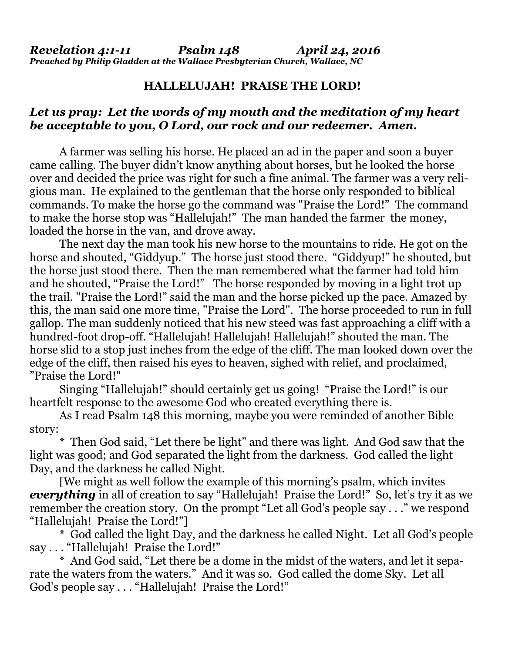## **HALLELUJAH! PRAISE THE LORD!**

## *Let us pray: Let the words of my mouth and the meditation of my heart be acceptable to you, O Lord, our rock and our redeemer. Amen.*

A farmer was selling his horse. He placed an ad in the paper and soon a buyer came calling. The buyer didn't know anything about horses, but he looked the horse over and decided the price was right for such a fine animal. The farmer was a very religious man. He explained to the gentleman that the horse only responded to biblical commands. To make the horse go the command was "Praise the Lord!" The command to make the horse stop was "Hallelujah!" The man handed the farmer the money, loaded the horse in the van, and drove away.

 The next day the man took his new horse to the mountains to ride. He got on the horse and shouted, "Giddyup." The horse just stood there. "Giddyup!" he shouted, but the horse just stood there. Then the man remembered what the farmer had told him and he shouted, "Praise the Lord!" The horse responded by moving in a light trot up the trail. "Praise the Lord!" said the man and the horse picked up the pace. Amazed by this, the man said one more time, "Praise the Lord". The horse proceeded to run in full gallop. The man suddenly noticed that his new steed was fast approaching a cliff with a hundred-foot drop-off. "Hallelujah! Hallelujah! Hallelujah!" shouted the man. The horse slid to a stop just inches from the edge of the cliff. The man looked down over the edge of the cliff, then raised his eyes to heaven, sighed with relief, and proclaimed, "Praise the Lord!"

 Singing "Hallelujah!" should certainly get us going! "Praise the Lord!" is our heartfelt response to the awesome God who created everything there is.

 As I read Psalm 148 this morning, maybe you were reminded of another Bible story:

 \* Then God said, "Let there be light" and there was light. And God saw that the light was good; and God separated the light from the darkness. God called the light Day, and the darkness he called Night.

 [We might as well follow the example of this morning's psalm, which invites **everything** in all of creation to say "Hallelujah! Praise the Lord!" So, let's try it as we remember the creation story. On the prompt "Let all God's people say . . ." we respond "Hallelujah! Praise the Lord!"]

 \* God called the light Day, and the darkness he called Night. Let all God's people say . . . "Hallelujah! Praise the Lord!"

 \* And God said, "Let there be a dome in the midst of the waters, and let it separate the waters from the waters." And it was so. God called the dome Sky. Let all God's people say . . . "Hallelujah! Praise the Lord!"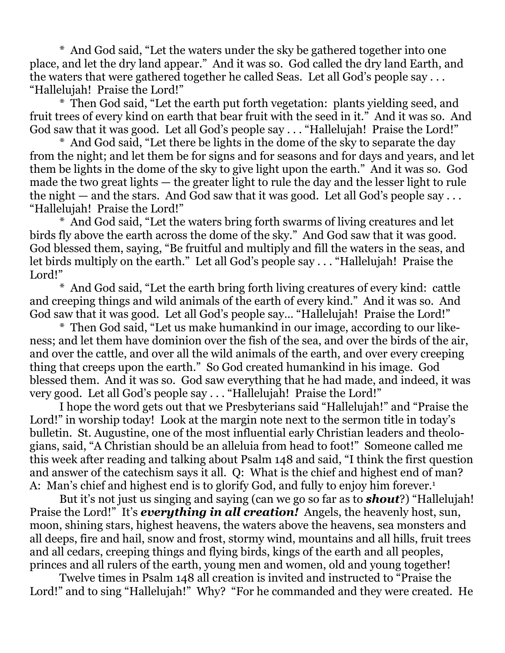\* And God said, "Let the waters under the sky be gathered together into one place, and let the dry land appear." And it was so. God called the dry land Earth, and the waters that were gathered together he called Seas. Let all God's people say . . . "Hallelujah! Praise the Lord!"

 \* Then God said, "Let the earth put forth vegetation: plants yielding seed, and fruit trees of every kind on earth that bear fruit with the seed in it." And it was so. And God saw that it was good. Let all God's people say . . . "Hallelujah! Praise the Lord!"

 \* And God said, "Let there be lights in the dome of the sky to separate the day from the night; and let them be for signs and for seasons and for days and years, and let them be lights in the dome of the sky to give light upon the earth." And it was so. God made the two great lights — the greater light to rule the day and the lesser light to rule the night — and the stars. And God saw that it was good. Let all God's people say  $\dots$ "Hallelujah! Praise the Lord!"

 \* And God said, "Let the waters bring forth swarms of living creatures and let birds fly above the earth across the dome of the sky." And God saw that it was good. God blessed them, saying, "Be fruitful and multiply and fill the waters in the seas, and let birds multiply on the earth." Let all God's people say . . . "Hallelujah! Praise the Lord!"

 \* And God said, "Let the earth bring forth living creatures of every kind: cattle and creeping things and wild animals of the earth of every kind." And it was so. And God saw that it was good. Let all God's people say… "Hallelujah! Praise the Lord!"

 \* Then God said, "Let us make humankind in our image, according to our likeness; and let them have dominion over the fish of the sea, and over the birds of the air, and over the cattle, and over all the wild animals of the earth, and over every creeping thing that creeps upon the earth." So God created humankind in his image. God blessed them. And it was so. God saw everything that he had made, and indeed, it was very good. Let all God's people say . . . "Hallelujah! Praise the Lord!"

 I hope the word gets out that we Presbyterians said "Hallelujah!" and "Praise the Lord!" in worship today! Look at the margin note next to the sermon title in today's bulletin. St. Augustine, one of the most influential early Christian leaders and theologians, said, "A Christian should be an alleluia from head to foot!" Someone called me this week after reading and talking about Psalm 148 and said, "I think the first question and answer of the catechism says it all. Q: What is the chief and highest end of man? A: Man's chief and highest end is to glorify God, and fully to enjoy him forever.<sup>1</sup>

 But it's not just us singing and saying (can we go so far as to *shout*?) "Hallelujah! Praise the Lord!" It's *everything in all creation!* Angels, the heavenly host, sun, moon, shining stars, highest heavens, the waters above the heavens, sea monsters and all deeps, fire and hail, snow and frost, stormy wind, mountains and all hills, fruit trees and all cedars, creeping things and flying birds, kings of the earth and all peoples, princes and all rulers of the earth, young men and women, old and young together!

 Twelve times in Psalm 148 all creation is invited and instructed to "Praise the Lord!" and to sing "Hallelujah!" Why? "For he commanded and they were created. He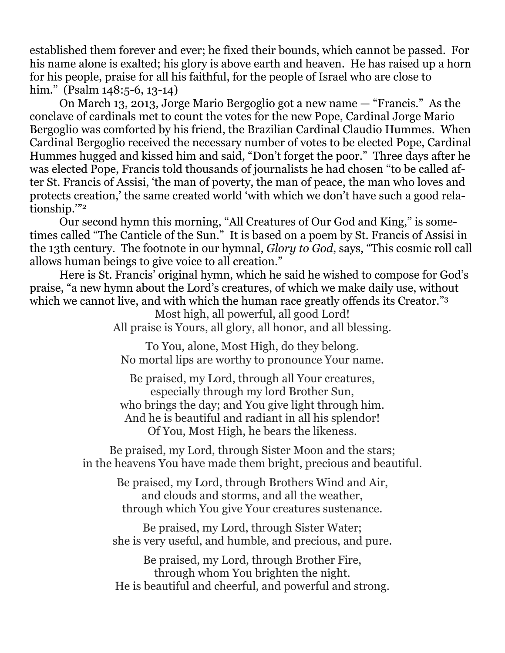established them forever and ever; he fixed their bounds, which cannot be passed. For his name alone is exalted; his glory is above earth and heaven. He has raised up a horn for his people, praise for all his faithful, for the people of Israel who are close to him." (Psalm 148:5-6, 13-14)

 On March 13, 2013, Jorge Mario Bergoglio got a new name — "Francis." As the conclave of cardinals met to count the votes for the new Pope, Cardinal Jorge Mario Bergoglio was comforted by his friend, the Brazilian Cardinal Claudio Hummes. When Cardinal Bergoglio received the necessary number of votes to be elected Pope, Cardinal Hummes hugged and kissed him and said, "Don't forget the poor." Three days after he was elected Pope, Francis told thousands of journalists he had chosen "to be called after St. Francis of Assisi, 'the man of poverty, the man of peace, the man who loves and protects creation,' the same created world 'with which we don't have such a good relationship.'"2

 Our second hymn this morning, "All Creatures of Our God and King," is sometimes called "The Canticle of the Sun." It is based on a poem by St. Francis of Assisi in the 13th century. The footnote in our hymnal, *Glory to God*, says, "This cosmic roll call allows human beings to give voice to all creation."

 Here is St. Francis' original hymn, which he said he wished to compose for God's praise, "a new hymn about the Lord's creatures, of which we make daily use, without which we cannot live, and with which the human race greatly offends its Creator."<sup>3</sup>

> Most high, all powerful, all good Lord! All praise is Yours, all glory, all honor, and all blessing.

To You, alone, Most High, do they belong. No mortal lips are worthy to pronounce Your name.

Be praised, my Lord, through all Your creatures, especially through my lord Brother Sun, who brings the day; and You give light through him. And he is beautiful and radiant in all his splendor! Of You, Most High, he bears the likeness.

Be praised, my Lord, through Sister Moon and the stars; in the heavens You have made them bright, precious and beautiful.

> Be praised, my Lord, through Brothers Wind and Air, and clouds and storms, and all the weather, through which You give Your creatures sustenance.

Be praised, my Lord, through Sister Water; she is very useful, and humble, and precious, and pure.

Be praised, my Lord, through Brother Fire, through whom You brighten the night. He is beautiful and cheerful, and powerful and strong.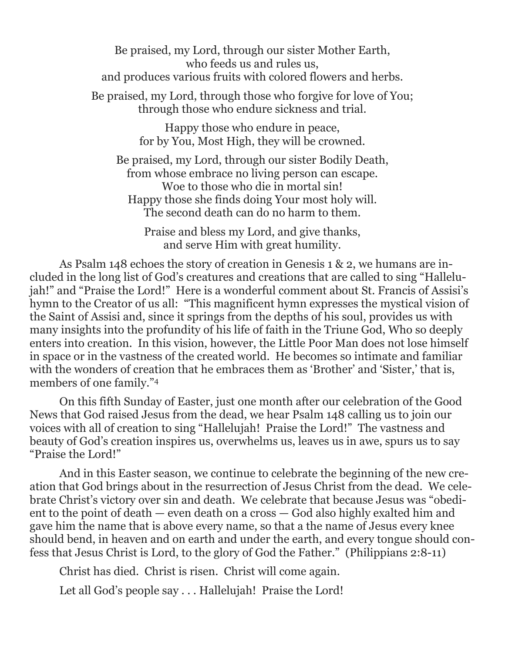Be praised, my Lord, through our sister Mother Earth, who feeds us and rules us, and produces various fruits with colored flowers and herbs. Be praised, my Lord, through those who forgive for love of You;

through those who endure sickness and trial.

Happy those who endure in peace, for by You, Most High, they will be crowned.

Be praised, my Lord, through our sister Bodily Death, from whose embrace no living person can escape. Woe to those who die in mortal sin! Happy those she finds doing Your most holy will. The second death can do no harm to them.

Praise and bless my Lord, and give thanks, and serve Him with great humility.

 As Psalm 148 echoes the story of creation in Genesis 1 & 2, we humans are included in the long list of God's creatures and creations that are called to sing "Hallelujah!" and "Praise the Lord!" Here is a wonderful comment about St. Francis of Assisi's hymn to the Creator of us all: "This magnificent hymn expresses the mystical vision of the Saint of Assisi and, since it springs from the depths of his soul, provides us with many insights into the profundity of his life of faith in the Triune God, Who so deeply enters into creation. In this vision, however, the Little Poor Man does not lose himself in space or in the vastness of the created world. He becomes so intimate and familiar with the wonders of creation that he embraces them as 'Brother' and 'Sister,' that is, members of one family."4

 On this fifth Sunday of Easter, just one month after our celebration of the Good News that God raised Jesus from the dead, we hear Psalm 148 calling us to join our voices with all of creation to sing "Hallelujah! Praise the Lord!" The vastness and beauty of God's creation inspires us, overwhelms us, leaves us in awe, spurs us to say "Praise the Lord!"

 And in this Easter season, we continue to celebrate the beginning of the new creation that God brings about in the resurrection of Jesus Christ from the dead. We celebrate Christ's victory over sin and death. We celebrate that because Jesus was "obedient to the point of death — even death on a cross — God also highly exalted him and gave him the name that is above every name, so that a the name of Jesus every knee should bend, in heaven and on earth and under the earth, and every tongue should confess that Jesus Christ is Lord, to the glory of God the Father." (Philippians 2:8-11)

Christ has died. Christ is risen. Christ will come again.

Let all God's people say . . . Hallelujah! Praise the Lord!